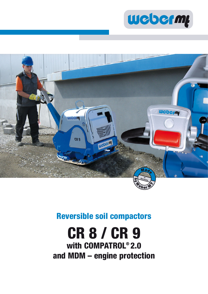



### **Reversible soil compactors**

# **CR 8 / CR 9 with COMPATROL® 2.0 and MDM – engine protection**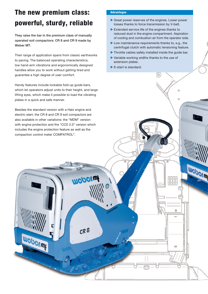## **The new premium class: powerful, sturdy, reliable**

They raise the bar in the premium class of manually operated soil compactors: CR 8 and CR 9 made by Weber MT.

Their range of application spans from classic earthworks to paving. The balanced operating characteristics, low hand-arm vibrations and ergonomically designed handles allow you to work without getting tired and guarantee a high degree of user comfort.

Handy features include lockable fold-up guide bars, which let operators adjust units to their height, and large lifting eyes, which make it possible to load the vibrating plates in a quick and safe manner.

Besides the standard version with a Hatz engine and electric start, the CR 8 and CR 9 soil compactors are also available in other variations: the "MDM" version with engine protection and the "CCD 2.0" version which includes the engine protection feature as well as the compaction control meter COMPATROL®.

Weberm

**Weberwf** 

 $CR<sup>8</sup>$ 

### **Advantages**

- $\blacktriangleright$  Great power reserves of the engines. Lower power losses thanks to force transmission by V-belt.
- $\blacktriangleright$  Extended service life of the engines thanks to reduced dust in the engine compartment. Aspiration of cooling and combustion air from the operator side.
- $\blacktriangleright$  Low maintenance requirements thanks to, e.g., the centrifugal clutch with automatic tensioning feature.
- $\blacktriangleright$  Throttle cables safely installed inside the guide bar.

 $\circ$ 

 $\ddot{\circ}$ 

ö

۸

Weberm

- $\blacktriangleright$  Variable working widths thanks to the use of extension plates.
- $\blacktriangleright$  E-start is standard.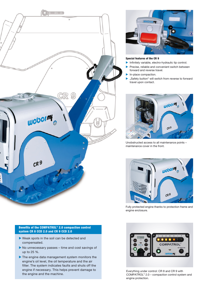



#### **Special features of the CR 9 Spe**

- $\blacktriangleright$  Infinitely variable, electro-hydraulic tip control.
- $\blacktriangleright$  Precise, reliable and convenient switch between forward and reverse travel. f
- In-place compaction.
- "Safety button" will switch from reverse to forward travel upon contact.



Unobstructed access to all maintenance points – Uno maintenance cover in the front. ma



Fully protected engine thanks to protection frame and Full engine enclosure. eng

### **Benefits of the COMPATROL® 2.0 compaction control system CR 8 CCD 2.0 and CR 9 CCD 2.0**

- $\blacktriangleright$  Weak spots in the soil can be detected and compensated.
- $\blacktriangleright$  No unnecessary passes time and cost savings of up to 25 %.
- $\blacktriangleright$  The engine data management system monitors the engine's oil level, the oil temperature and the air filter. The system indicates faults and shuts off the engine if necessary. This helps prevent damage to the engine and the machine.



Everything under control: CR 8 and CR 9 with COMPATROL® 2.0 – compaction control system and engine protection.